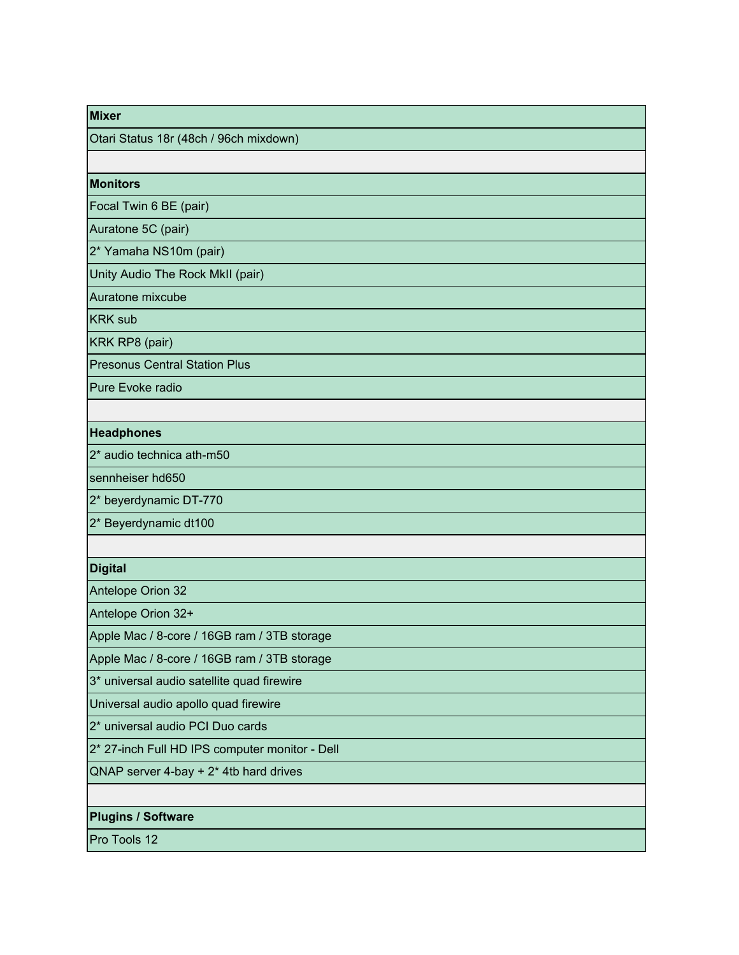| <b>Mixer</b>                                   |
|------------------------------------------------|
| Otari Status 18r (48ch / 96ch mixdown)         |
|                                                |
| <b>Monitors</b>                                |
| Focal Twin 6 BE (pair)                         |
| Auratone 5C (pair)                             |
| 2* Yamaha NS10m (pair)                         |
| Unity Audio The Rock MkII (pair)               |
| Auratone mixcube                               |
| <b>KRK sub</b>                                 |
| KRK RP8 (pair)                                 |
| <b>Presonus Central Station Plus</b>           |
| Pure Evoke radio                               |
|                                                |
| <b>Headphones</b>                              |
| 2* audio technica ath-m50                      |
| sennheiser hd650                               |
| 2* beyerdynamic DT-770                         |
| 2* Beyerdynamic dt100                          |
|                                                |
| <b>Digital</b>                                 |
| Antelope Orion 32                              |
| Antelope Orion 32+                             |
| Apple Mac / 8-core / 16GB ram / 3TB storage    |
| Apple Mac / 8-core / 16GB ram / 3TB storage    |
| 3* universal audio satellite quad firewire     |
| Universal audio apollo quad firewire           |
| 2* universal audio PCI Duo cards               |
| 2* 27-inch Full HD IPS computer monitor - Dell |
| QNAP server $4$ -bay + $2*$ 4tb hard drives    |
|                                                |
| <b>Plugins / Software</b>                      |
| Pro Tools 12                                   |
|                                                |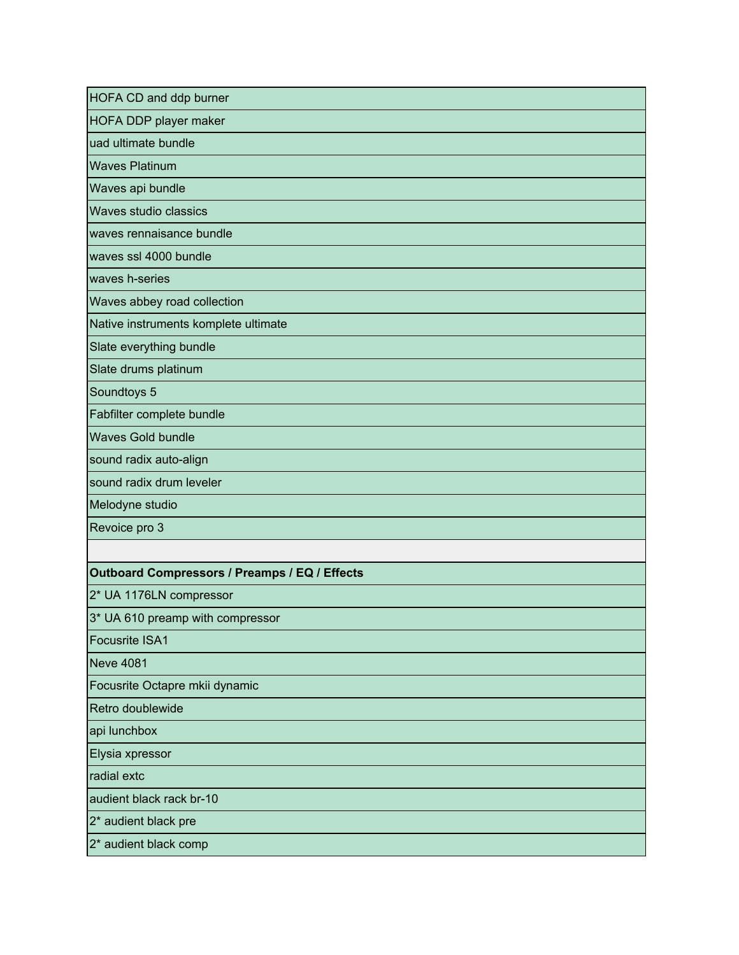| HOFA CD and ddp burner                        |
|-----------------------------------------------|
| HOFA DDP player maker                         |
| uad ultimate bundle                           |
| <b>Waves Platinum</b>                         |
| Waves api bundle                              |
| Waves studio classics                         |
| waves rennaisance bundle                      |
| waves ssl 4000 bundle                         |
| waves h-series                                |
| Waves abbey road collection                   |
| Native instruments komplete ultimate          |
| Slate everything bundle                       |
| Slate drums platinum                          |
| Soundtoys 5                                   |
| Fabfilter complete bundle                     |
| <b>Waves Gold bundle</b>                      |
| sound radix auto-align                        |
| sound radix drum leveler                      |
| Melodyne studio                               |
| Revoice pro 3                                 |
|                                               |
| Outboard Compressors / Preamps / EQ / Effects |
| 2* UA 1176LN compressor                       |
| 3* UA 610 preamp with compressor              |
| <b>Focusrite ISA1</b>                         |
| <b>Neve 4081</b>                              |
| Focusrite Octapre mkii dynamic                |
| Retro doublewide                              |
| api lunchbox                                  |
| Elysia xpressor                               |
| radial extc                                   |
| audient black rack br-10                      |
| 2* audient black pre                          |
| 2* audient black comp                         |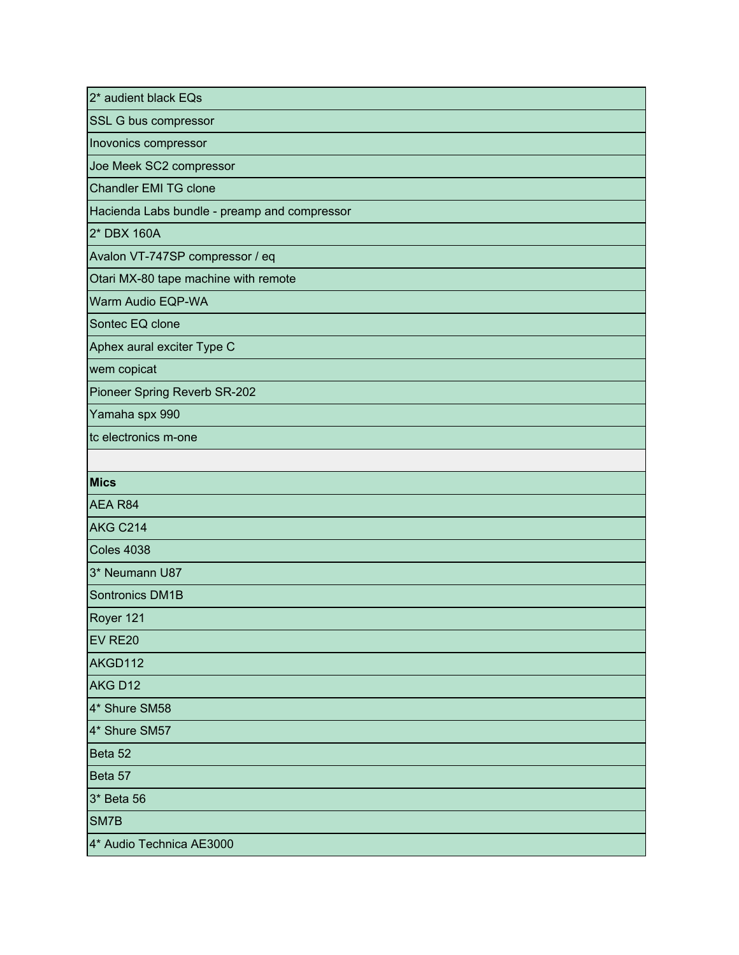| 2* audient black EQs                         |
|----------------------------------------------|
| SSL G bus compressor                         |
| Inovonics compressor                         |
| Joe Meek SC2 compressor                      |
| <b>Chandler EMI TG clone</b>                 |
| Hacienda Labs bundle - preamp and compressor |
| 2* DBX 160A                                  |
| Avalon VT-747SP compressor / eq              |
| Otari MX-80 tape machine with remote         |
| Warm Audio EQP-WA                            |
| Sontec EQ clone                              |
| Aphex aural exciter Type C                   |
| wem copicat                                  |
| Pioneer Spring Reverb SR-202                 |
| Yamaha spx 990                               |
| tc electronics m-one                         |
|                                              |
| <b>Mics</b>                                  |
| AEA R84                                      |
| <b>AKG C214</b>                              |
| <b>Coles 4038</b>                            |
| 3* Neumann U87                               |
| Sontronics DM1B                              |
| Royer 121                                    |
| EV RE20                                      |
| AKGD112                                      |
|                                              |
| AKG D12                                      |
| 4* Shure SM58                                |
| 4* Shure SM57                                |
| Beta 52                                      |
| Beta 57                                      |
| 3* Beta 56                                   |
| SM7B                                         |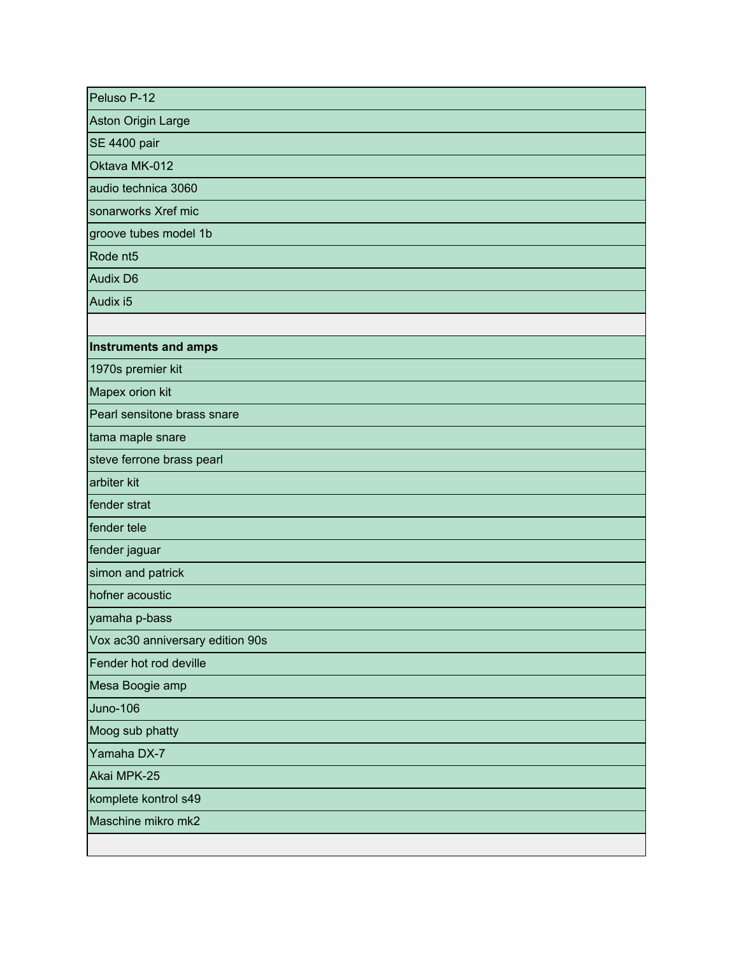| Peluso P-12                      |
|----------------------------------|
| Aston Origin Large               |
| <b>SE 4400 pair</b>              |
| Oktava MK-012                    |
| audio technica 3060              |
| sonarworks Xref mic              |
| groove tubes model 1b            |
| Rode nt <sub>5</sub>             |
| <b>Audix D6</b>                  |
| Audix i5                         |
|                                  |
| <b>Instruments and amps</b>      |
| 1970s premier kit                |
| Mapex orion kit                  |
| Pearl sensitone brass snare      |
| tama maple snare                 |
| steve ferrone brass pearl        |
| arbiter kit                      |
| fender strat                     |
| fender tele                      |
| fender jaguar                    |
| simon and patrick                |
| hofner acoustic                  |
| yamaha p-bass                    |
| Vox ac30 anniversary edition 90s |
| Fender hot rod deville           |
| Mesa Boogie amp                  |
| <b>Juno-106</b>                  |
| Moog sub phatty                  |
| Yamaha DX-7                      |
| Akai MPK-25                      |
| komplete kontrol s49             |
| Maschine mikro mk2               |
|                                  |